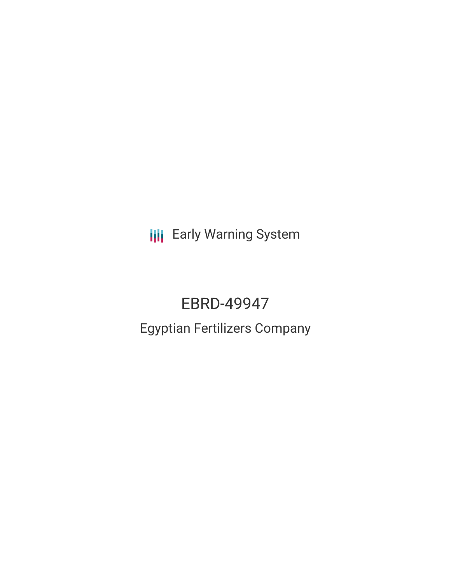**III** Early Warning System

# EBRD-49947

## Egyptian Fertilizers Company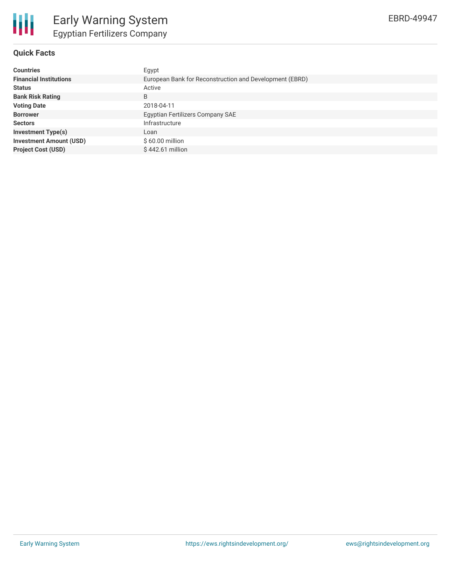

#### **Quick Facts**

| <b>Countries</b>               | Egypt                                                   |  |  |  |
|--------------------------------|---------------------------------------------------------|--|--|--|
| <b>Financial Institutions</b>  | European Bank for Reconstruction and Development (EBRD) |  |  |  |
| <b>Status</b>                  | Active                                                  |  |  |  |
| <b>Bank Risk Rating</b>        | B                                                       |  |  |  |
| <b>Voting Date</b>             | 2018-04-11                                              |  |  |  |
| <b>Borrower</b>                | Egyptian Fertilizers Company SAE                        |  |  |  |
| <b>Sectors</b>                 | Infrastructure                                          |  |  |  |
| <b>Investment Type(s)</b>      | Loan                                                    |  |  |  |
| <b>Investment Amount (USD)</b> | $$60.00$ million                                        |  |  |  |
| <b>Project Cost (USD)</b>      | $$442.61$ million                                       |  |  |  |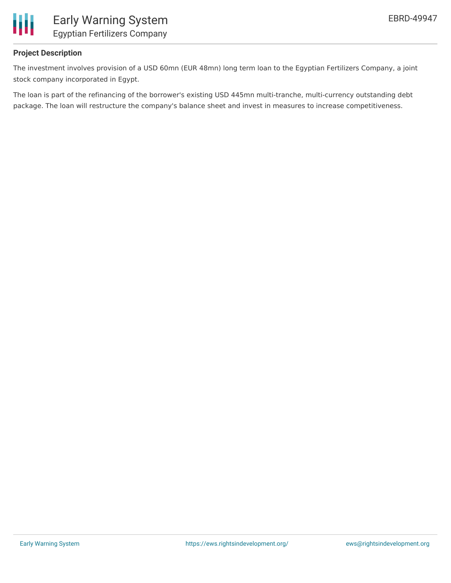

#### **Project Description**

The investment involves provision of a USD 60mn (EUR 48mn) long term loan to the Egyptian Fertilizers Company, a joint stock company incorporated in Egypt.

The loan is part of the refinancing of the borrower's existing USD 445mn multi-tranche, multi-currency outstanding debt package. The loan will restructure the company's balance sheet and invest in measures to increase competitiveness.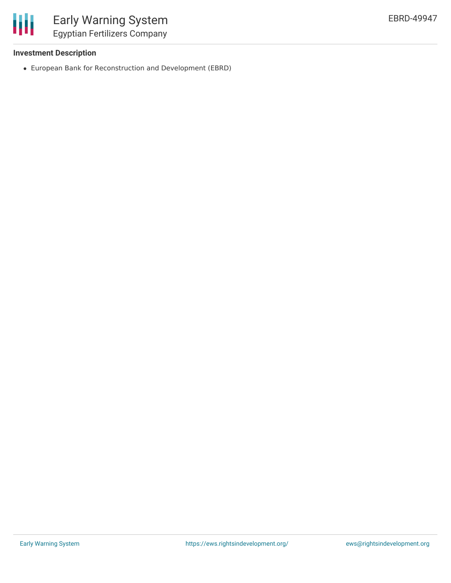

## Early Warning System Egyptian Fertilizers Company

#### **Investment Description**

European Bank for Reconstruction and Development (EBRD)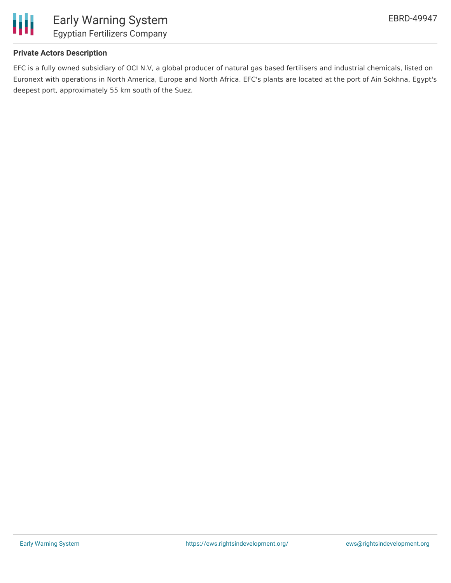

#### **Private Actors Description**

EFC is a fully owned subsidiary of OCI N.V, a global producer of natural gas based fertilisers and industrial chemicals, listed on Euronext with operations in North America, Europe and North Africa. EFC's plants are located at the port of Ain Sokhna, Egypt's deepest port, approximately 55 km south of the Suez.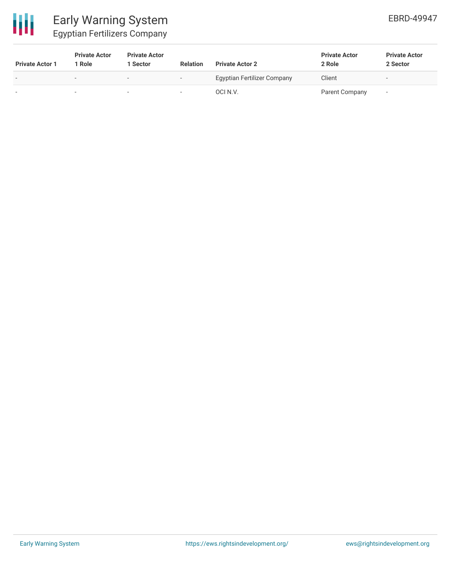

### Early Warning System Egyptian Fertilizers Company

| <b>Private Actor 1</b>   | <b>Private Actor</b><br>l Role | <b>Private Actor</b><br><b>Sector</b> | <b>Relation</b>          | <b>Private Actor 2</b>             | <b>Private Actor</b><br>2 Role | <b>Private Actor</b><br>2 Sector |
|--------------------------|--------------------------------|---------------------------------------|--------------------------|------------------------------------|--------------------------------|----------------------------------|
| $\overline{\phantom{a}}$ | $\overline{\phantom{0}}$       | $\overline{\phantom{0}}$              | $\overline{\phantom{0}}$ | <b>Egyptian Fertilizer Company</b> | Client                         | $\overline{\phantom{a}}$         |
| $\sim$                   |                                |                                       | $\overline{\phantom{a}}$ | OCI N.V.                           | Parent Company                 | $\overline{\phantom{a}}$         |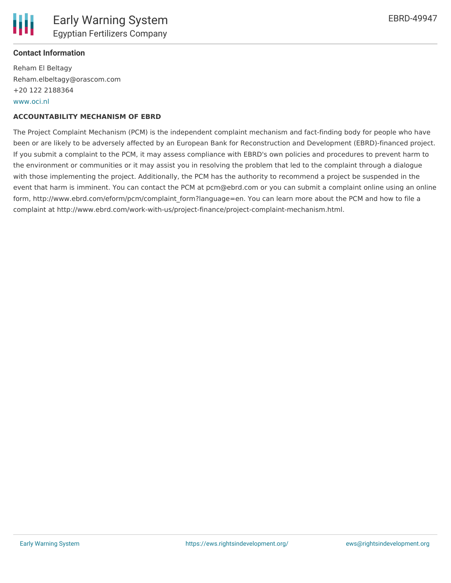#### **Contact Information**

Reham El Beltagy Reham.elbeltagy@orascom.com +20 122 2188364 [www.oci.nl](http://www.oci.nl/)

#### **ACCOUNTABILITY MECHANISM OF EBRD**

The Project Complaint Mechanism (PCM) is the independent complaint mechanism and fact-finding body for people who have been or are likely to be adversely affected by an European Bank for Reconstruction and Development (EBRD)-financed project. If you submit a complaint to the PCM, it may assess compliance with EBRD's own policies and procedures to prevent harm to the environment or communities or it may assist you in resolving the problem that led to the complaint through a dialogue with those implementing the project. Additionally, the PCM has the authority to recommend a project be suspended in the event that harm is imminent. You can contact the PCM at pcm@ebrd.com or you can submit a complaint online using an online form, http://www.ebrd.com/eform/pcm/complaint form?language=en. You can learn more about the PCM and how to file a complaint at http://www.ebrd.com/work-with-us/project-finance/project-complaint-mechanism.html.